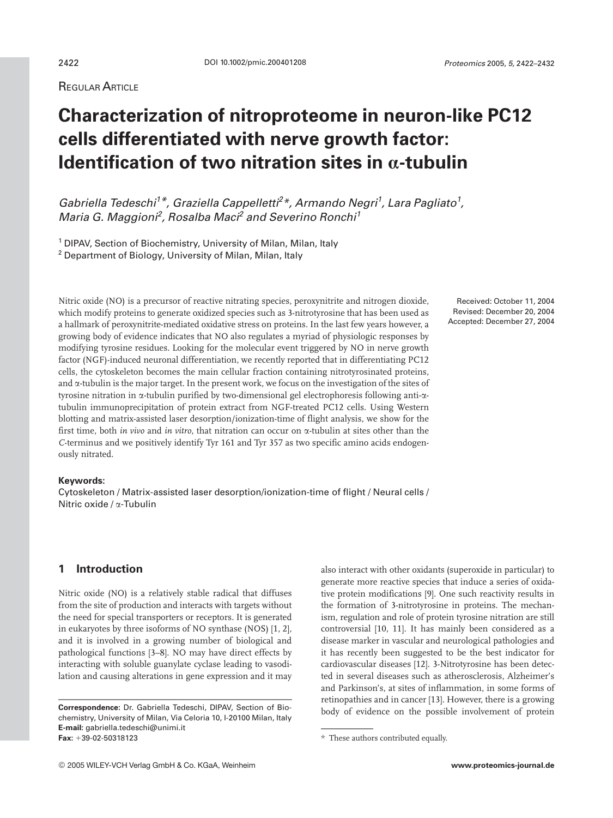# REGULAR ARTICLE

# **Characterization of nitroproteome in neuron-like PC12 cells differentiated with nerve growth factor: Identification of two nitration sites in**  $\alpha$ **-tubulin**

Gabriella Tedeschi<sup>1\*</sup>, Graziella Cappelletti<sup>2</sup>\*, Armando Negri<sup>1</sup>, Lara Pagliato<sup>1</sup>, Maria G. Maggioni<sup>2</sup>, Rosalba Maci<sup>2</sup> and Severino Ronchi<sup>1</sup>

<sup>1</sup> DIPAV, Section of Biochemistry, University of Milan, Milan, Italy <sup>2</sup> Department of Biology, University of Milan, Milan, Italy

Nitric oxide (NO) is a precursor of reactive nitrating species, peroxynitrite and nitrogen dioxide, which modify proteins to generate oxidized species such as 3-nitrotyrosine that has been used as a hallmark of peroxynitrite-mediated oxidative stress on proteins. In the last few years however, a growing body of evidence indicates that NO also regulates a myriad of physiologic responses by modifying tyrosine residues. Looking for the molecular event triggered by NO in nerve growth factor (NGF)-induced neuronal differentiation, we recently reported that in differentiating PC12 cells, the cytoskeleton becomes the main cellular fraction containing nitrotyrosinated proteins, and a-tubulin is the major target. In the present work, we focus on the investigation of the sites of tyrosine nitration in a-tubulin purified by two-dimensional gel electrophoresis following anti-atubulin immunoprecipitation of protein extract from NGF-treated PC12 cells. Using Western blotting and matrix-assisted laser desorption/ionization-time of flight analysis, we show for the first time, both *in vivo* and *in vitro*, that nitration can occur on a-tubulin at sites other than the *C*-terminus and we positively identify Tyr 161 and Tyr 357 as two specific amino acids endogenously nitrated.

#### **Keywords:**

Cytoskeleton / Matrix-assisted laser desorption/ionization-time of flight / Neural cells / Nitric oxide / a-Tubulin

# **1 Introduction**

Nitric oxide (NO) is a relatively stable radical that diffuses from the site of production and interacts with targets without the need for special transporters or receptors. It is generated in eukaryotes by three isoforms of NO synthase (NOS) [1, 2], and it is involved in a growing number of biological and pathological functions [3–8]. NO may have direct effects by interacting with soluble guanylate cyclase leading to vasodilation and causing alterations in gene expression and it may

also interact with other oxidants (superoxide in particular) to generate more reactive species that induce a series of oxidative protein modifications [9]. One such reactivity results in the formation of 3-nitrotyrosine in proteins. The mechanism, regulation and role of protein tyrosine nitration are still controversial [10, 11]. It has mainly been considered as a disease marker in vascular and neurological pathologies and it has recently been suggested to be the best indicator for cardiovascular diseases [12]. 3-Nitrotyrosine has been detected in several diseases such as atherosclerosis, Alzheimer's and Parkinson's, at sites of inflammation, in some forms of retinopathies and in cancer [13]. However, there is a growing **Correspondence:** Dr. Gabriella Tedeschi, DIPAV, Section of Bio-<br>body of evidence on the possible involvement of protein

Received: October 11, 2004 Revised: December 20, 2004 Accepted: December 27, 2004

chemistry, University of Milan, Via Celoria 10, I-20100 Milan, Italy **E-mail:** gabriella.tedeschi@unimi.it **Fax:** +39-02-50318123 **Fax:** +39-02-50318123 **Fax:** +39-02-50318123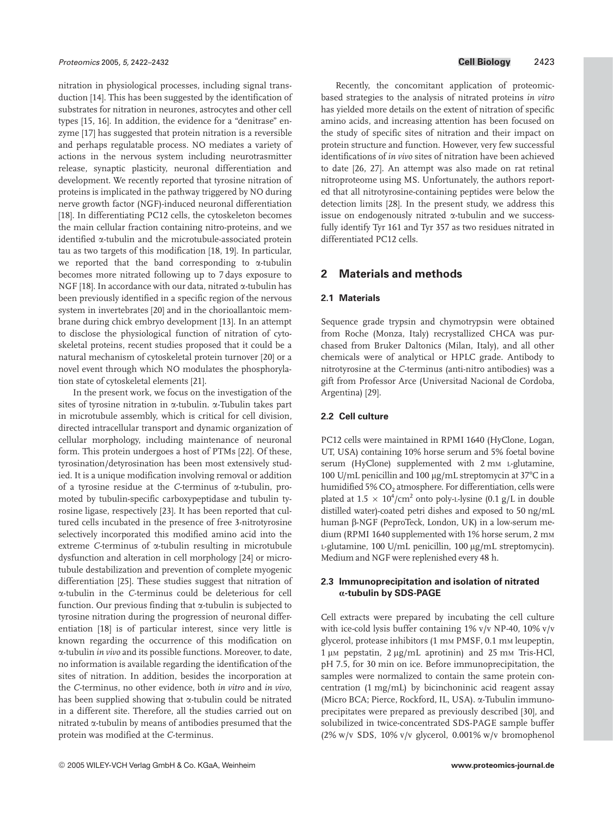nitration in physiological processes, including signal transduction [14]. This has been suggested by the identification of substrates for nitration in neurones, astrocytes and other cell types [15, 16]. In addition, the evidence for a "denitrase" enzyme [17] has suggested that protein nitration is a reversible and perhaps regulatable process. NO mediates a variety of actions in the nervous system including neurotrasmitter release, synaptic plasticity, neuronal differentiation and development. We recently reported that tyrosine nitration of proteins is implicated in the pathway triggered by NO during nerve growth factor (NGF)-induced neuronal differentiation [18]. In differentiating PC12 cells, the cytoskeleton becomes the main cellular fraction containing nitro-proteins, and we identified a-tubulin and the microtubule-associated protein tau as two targets of this modification [18, 19]. In particular, we reported that the band corresponding to  $\alpha$ -tubulin becomes more nitrated following up to 7 days exposure to NGF [18]. In accordance with our data, nitrated  $\alpha$ -tubulin has been previously identified in a specific region of the nervous system in invertebrates [20] and in the chorioallantoic membrane during chick embryo development [13]. In an attempt to disclose the physiological function of nitration of cytoskeletal proteins, recent studies proposed that it could be a natural mechanism of cytoskeletal protein turnover [20] or a novel event through which NO modulates the phosphorylation state of cytoskeletal elements [21].

In the present work, we focus on the investigation of the sites of tyrosine nitration in  $\alpha$ -tubulin.  $\alpha$ -Tubulin takes part in microtubule assembly, which is critical for cell division, directed intracellular transport and dynamic organization of cellular morphology, including maintenance of neuronal form. This protein undergoes a host of PTMs [22]. Of these, tyrosination/detyrosination has been most extensively studied. It is a unique modification involving removal or addition of a tyrosine residue at the *C*-terminus of a-tubulin, promoted by tubulin-specific carboxypeptidase and tubulin tyrosine ligase, respectively [23]. It has been reported that cultured cells incubated in the presence of free 3-nitrotyrosine selectively incorporated this modified amino acid into the extreme *C*-terminus of a-tubulin resulting in microtubule dysfunction and alteration in cell morphology [24] or microtubule destabilization and prevention of complete myogenic differentiation [25]. These studies suggest that nitration of a-tubulin in the *C*-terminus could be deleterious for cell function. Our previous finding that  $\alpha$ -tubulin is subjected to tyrosine nitration during the progression of neuronal differentiation [18] is of particular interest, since very little is known regarding the occurrence of this modification on a-tubulin *in vivo* and its possible functions. Moreover, to date, no information is available regarding the identification of the sites of nitration. In addition, besides the incorporation at the *C*-terminus, no other evidence, both *in vitro* and *in vivo*, has been supplied showing that  $\alpha$ -tubulin could be nitrated in a different site. Therefore, all the studies carried out on nitrated a-tubulin by means of antibodies presumed that the protein was modified at the *C*-terminus.

Recently, the concomitant application of proteomicbased strategies to the analysis of nitrated proteins *in vitro* has yielded more details on the extent of nitration of specific amino acids, and increasing attention has been focused on the study of specific sites of nitration and their impact on protein structure and function. However, very few successful identifications of *in vivo* sites of nitration have been achieved to date [26, 27]. An attempt was also made on rat retinal nitroproteome using MS. Unfortunately, the authors reported that all nitrotyrosine-containing peptides were below the detection limits [28]. In the present study, we address this issue on endogenously nitrated a-tubulin and we successfully identify Tyr 161 and Tyr 357 as two residues nitrated in differentiated PC12 cells.

# **2 Materials and methods**

#### **2.1 Materials**

Sequence grade trypsin and chymotrypsin were obtained from Roche (Monza, Italy) recrystallized CHCA was purchased from Bruker Daltonics (Milan, Italy), and all other chemicals were of analytical or HPLC grade. Antibody to nitrotyrosine at the *C*-terminus (anti-nitro antibodies) was a gift from Professor Arce (Universitad Nacional de Cordoba, Argentina) [29].

## **2.2 Cell culture**

PC12 cells were maintained in RPMI 1640 (HyClone, Logan, UT, USA) containing 10% horse serum and 5% foetal bovine serum (HyClone) supplemented with 2 mM L-glutamine, 100 U/mL penicillin and 100  $\mu$ g/mL streptomycin at 37°C in a humidified 5%  $CO<sub>2</sub>$  atmosphere. For differentiation, cells were plated at 1.5  $\times$  10<sup>4</sup>/cm<sup>2</sup> onto poly-L-lysine (0.1 g/L in double distilled water)-coated petri dishes and exposed to 50 ng/mL human b-NGF (PeproTeck, London, UK) in a low-serum medium (RPMI 1640 supplemented with 1% horse serum, 2 mm L-glutamine, 100 U/mL penicillin, 100 µg/mL streptomycin). Medium and NGF were replenished every 48 h.

## **2.3 Immunoprecipitation and isolation of nitrated** Æ**-tubulin by SDS-PAGE**

Cell extracts were prepared by incubating the cell culture with ice-cold lysis buffer containing 1% v/v NP-40, 10% v/v glycerol, protease inhibitors (1 mM PMSF, 0.1 mM leupeptin,  $1 \mu$ M pepstatin,  $2 \mu g/mL$  aprotinin) and  $25 \mu M$  Tris-HCl, pH 7.5, for 30 min on ice. Before immunoprecipitation, the samples were normalized to contain the same protein concentration (1 mg/mL) by bicinchoninic acid reagent assay (Micro BCA; Pierce, Rockford, IL, USA). a-Tubulin immunoprecipitates were prepared as previously described [30], and solubilized in twice-concentrated SDS-PAGE sample buffer (2% w/v SDS, 10% v/v glycerol, 0.001% w/v bromophenol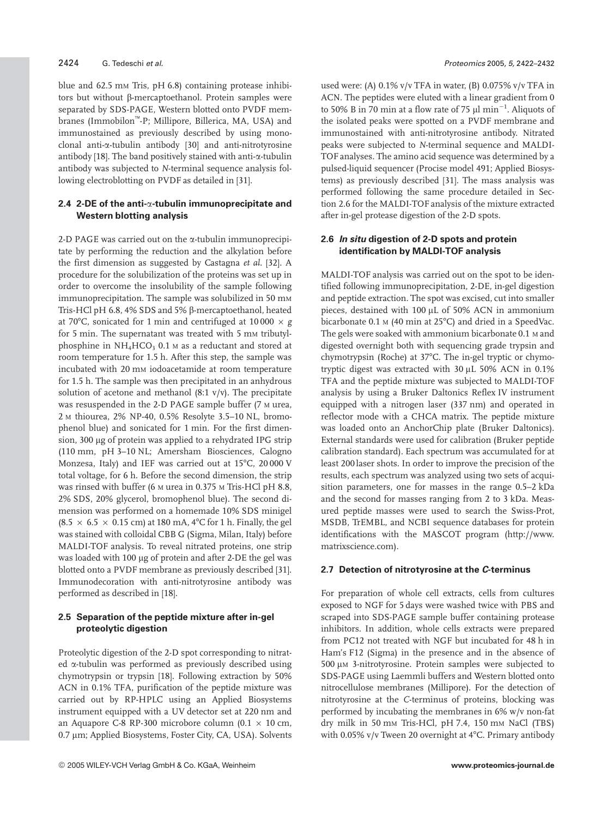### 2424 G. Tedeschi et al. Proteomics 2005, 5, 2422–2432

blue and 62.5 mm Tris, pH 6.8) containing protease inhibitors but without  $\beta$ -mercaptoethanol. Protein samples were separated by SDS-PAGE, Western blotted onto PVDF membranes (Immobilon<sup>™</sup>-P; Millipore, Billerica, MA, USA) and immunostained as previously described by using monoclonal anti-a-tubulin antibody [30] and anti-nitrotyrosine antibody [18]. The band positively stained with anti- $\alpha$ -tubulin antibody was subjected to *N*-terminal sequence analysis following electroblotting on PVDF as detailed in [31].

#### **2.4 2-DE of the anti-**a**-tubulin immunoprecipitate and Western blotting analysis**

2-D PAGE was carried out on the  $\alpha$ -tubulin immunoprecipitate by performing the reduction and the alkylation before the first dimension as suggested by Castagna *et al.* [32]. A procedure for the solubilization of the proteins was set up in order to overcome the insolubility of the sample following immunoprecipitation. The sample was solubilized in 50 mm Tris-HCl pH 6.8, 4% SDS and 5%  $\beta$ -mercaptoethanol, heated at 70°C, sonicated for 1 min and centrifuged at 10 000  $\times$  *g* for 5 min. The supernatant was treated with 5 mm tributylphosphine in  $NH_4HCO_3$  0.1 M as a reductant and stored at room temperature for 1.5 h. After this step, the sample was incubated with 20 mM iodoacetamide at room temperature for 1.5 h. The sample was then precipitated in an anhydrous solution of acetone and methanol (8:1 v/v). The precipitate was resuspended in the 2-D PAGE sample buffer (7 M urea, 2 M thiourea, 2% NP-40, 0.5% Resolyte 3.5–10 NL, bromophenol blue) and sonicated for 1 min. For the first dimension, 300 µg of protein was applied to a rehydrated IPG strip (110 mm, pH 3–10 NL; Amersham Biosciences, Calogno Monzesa, Italy) and IEF was carried out at 15°C, 20 000 V total voltage, for 6 h. Before the second dimension, the strip was rinsed with buffer (6 M urea in 0.375 M Tris-HCl pH 8.8, 2% SDS, 20% glycerol, bromophenol blue). The second dimension was performed on a homemade 10% SDS minigel (8.5  $\times$  6.5  $\times$  0.15 cm) at 180 mA, 4°C for 1 h. Finally, the gel was stained with colloidal CBB G (Sigma, Milan, Italy) before MALDI-TOF analysis. To reveal nitrated proteins, one strip was loaded with 100 µg of protein and after 2-DE the gel was blotted onto a PVDF membrane as previously described [31]. Immunodecoration with anti-nitrotyrosine antibody was performed as described in [18].

## **2.5 Separation of the peptide mixture after in-gel proteolytic digestion**

Proteolytic digestion of the 2-D spot corresponding to nitrated a-tubulin was performed as previously described using chymotrypsin or trypsin [18]. Following extraction by 50% ACN in 0.1% TFA, purification of the peptide mixture was carried out by RP-HPLC using an Applied Biosystems instrument equipped with a UV detector set at 220 nm and an Aquapore C-8 RP-300 microbore column (0.1  $\times$  10 cm, 0.7 µm; Applied Biosystems, Foster City, CA, USA). Solvents

used were: (A) 0.1% v/v TFA in water, (B) 0.075% v/v TFA in ACN. The peptides were eluted with a linear gradient from 0 to 50% B in 70 min at a flow rate of 75  $\mu$ l min $^{-1}$ . Aliquots of the isolated peaks were spotted on a PVDF membrane and immunostained with anti-nitrotyrosine antibody. Nitrated peaks were subjected to *N*-terminal sequence and MALDI-TOF analyses. The amino acid sequence was determined by a pulsed-liquid sequencer (Procise model 491; Applied Biosystems) as previously described [31]. The mass analysis was performed following the same procedure detailed in Section 2.6 for the MALDI-TOF analysis of the mixture extracted after in-gel protease digestion of the 2-D spots.

#### **2.6** *In situ* **digestion of 2-D spots and protein identification by MALDI-TOF analysis**

MALDI-TOF analysis was carried out on the spot to be identified following immunoprecipitation, 2-DE, in-gel digestion and peptide extraction. The spot was excised, cut into smaller pieces, destained with 100 µL of 50% ACN in ammonium bicarbonate  $0.1$  M (40 min at 25 $^{\circ}$ C) and dried in a SpeedVac. The gels were soaked with ammonium bicarbonate 0.1 M and digested overnight both with sequencing grade trypsin and chymotrypsin (Roche) at  $37^{\circ}$ C. The in-gel tryptic or chymotryptic digest was extracted with  $30 \mu$ L 50% ACN in 0.1% TFA and the peptide mixture was subjected to MALDI-TOF analysis by using a Bruker Daltonics Reflex IV instrument equipped with a nitrogen laser (337 nm) and operated in reflector mode with a CHCA matrix. The peptide mixture was loaded onto an AnchorChip plate (Bruker Daltonics). External standards were used for calibration (Bruker peptide calibration standard). Each spectrum was accumulated for at least 200 laser shots. In order to improve the precision of the results, each spectrum was analyzed using two sets of acquisition parameters, one for masses in the range 0.5–2 kDa and the second for masses ranging from 2 to 3 kDa. Measured peptide masses were used to search the Swiss-Prot, MSDB, TrEMBL, and NCBI sequence databases for protein identifications with the MASCOT program (http://www. matrixscience.com).

#### **2.7 Detection of nitrotyrosine at the** *C***-terminus**

For preparation of whole cell extracts, cells from cultures exposed to NGF for 5 days were washed twice with PBS and scraped into SDS-PAGE sample buffer containing protease inhibitors. In addition, whole cells extracts were prepared from PC12 not treated with NGF but incubated for 48 h in Ham's F12 (Sigma) in the presence and in the absence of 500 μm 3-nitrotyrosine. Protein samples were subjected to SDS-PAGE using Laemmli buffers and Western blotted onto nitrocellulose membranes (Millipore). For the detection of nitrotyrosine at the *C*-terminus of proteins, blocking was performed by incubating the membranes in 6% w/v non-fat dry milk in 50 mM Tris-HCl, pH 7.4, 150 mM NaCl (TBS) with 0.05% v/v Tween 20 overnight at  $4^{\circ}$ C. Primary antibody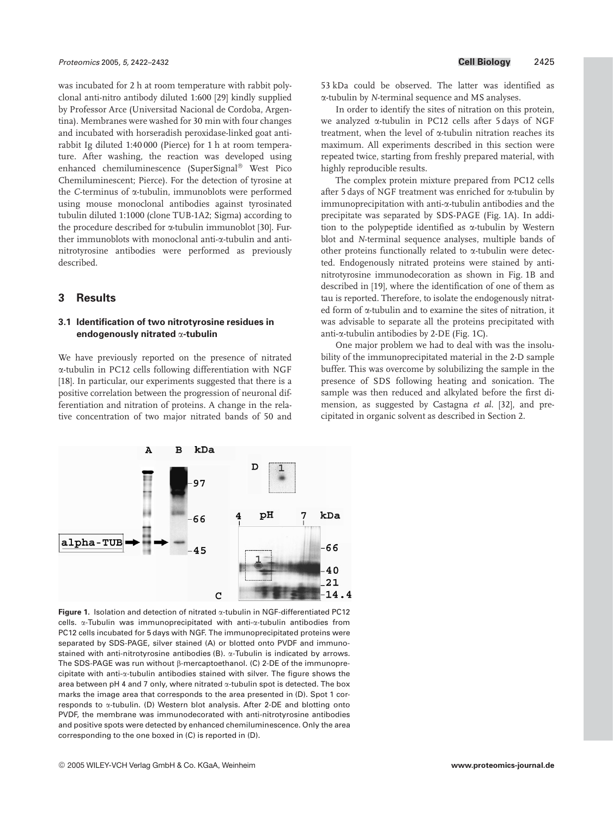was incubated for 2 h at room temperature with rabbit polyclonal anti-nitro antibody diluted 1:600 [29] kindly supplied by Professor Arce (Universitad Nacional de Cordoba, Argentina). Membranes were washed for 30 min with four changes and incubated with horseradish peroxidase-linked goat antirabbit Ig diluted 1:40 000 (Pierce) for 1 h at room temperature. After washing, the reaction was developed using enhanced chemiluminescence (SuperSignal<sup>®</sup> West Pico Chemiluminescent; Pierce). For the detection of tyrosine at the *C*-terminus of a-tubulin, immunoblots were performed using mouse monoclonal antibodies against tyrosinated tubulin diluted 1:1000 (clone TUB-1A2; Sigma) according to the procedure described for  $\alpha$ -tubulin immunoblot [30]. Further immunoblots with monoclonal anti-a-tubulin and antinitrotyrosine antibodies were performed as previously described.

## **3 Results**

#### **3.1 Identification of two nitrotyrosine residues in endogenously nitrated** a**-tubulin**

We have previously reported on the presence of nitrated a-tubulin in PC12 cells following differentiation with NGF [18]. In particular, our experiments suggested that there is a positive correlation between the progression of neuronal differentiation and nitration of proteins. A change in the relative concentration of two major nitrated bands of 50 and



Figure 1. Isolation and detection of nitrated  $\alpha$ -tubulin in NGF-differentiated PC12 cells. a-Tubulin was immunoprecipitated with anti-a-tubulin antibodies from PC12 cells incubated for 5 days with NGF. The immunoprecipitated proteins were separated by SDS-PAGE, silver stained (A) or blotted onto PVDF and immunostained with anti-nitrotyrosine antibodies  $(B)$ .  $\alpha$ -Tubulin is indicated by arrows. The SDS-PAGE was run without  $\beta$ -mercaptoethanol. (C) 2-DE of the immunoprecipitate with anti-a-tubulin antibodies stained with silver. The figure shows the area between pH 4 and 7 only, where nitrated  $\alpha$ -tubulin spot is detected. The box marks the image area that corresponds to the area presented in (D). Spot 1 corresponds to a-tubulin. (D) Western blot analysis. After 2-DE and blotting onto PVDF, the membrane was immunodecorated with anti-nitrotyrosine antibodies and positive spots were detected by enhanced chemiluminescence. Only the area corresponding to the one boxed in (C) is reported in (D).

53 kDa could be observed. The latter was identified as a-tubulin by *N*-terminal sequence and MS analyses.

In order to identify the sites of nitration on this protein, we analyzed a-tubulin in PC12 cells after 5 days of NGF treatment, when the level of a-tubulin nitration reaches its maximum. All experiments described in this section were repeated twice, starting from freshly prepared material, with highly reproducible results.

The complex protein mixture prepared from PC12 cells after 5 days of NGF treatment was enriched for a-tubulin by immunoprecipitation with anti-a-tubulin antibodies and the precipitate was separated by SDS-PAGE (Fig. 1A). In addition to the polypeptide identified as  $\alpha$ -tubulin by Western blot and *N*-terminal sequence analyses, multiple bands of other proteins functionally related to a-tubulin were detected. Endogenously nitrated proteins were stained by antinitrotyrosine immunodecoration as shown in Fig. 1B and described in [19], where the identification of one of them as tau is reported. Therefore, to isolate the endogenously nitrated form of a-tubulin and to examine the sites of nitration, it was advisable to separate all the proteins precipitated with anti-a-tubulin antibodies by 2-DE (Fig. 1C).

One major problem we had to deal with was the insolubility of the immunoprecipitated material in the 2-D sample buffer. This was overcome by solubilizing the sample in the presence of SDS following heating and sonication. The sample was then reduced and alkylated before the first dimension, as suggested by Castagna *et al.* [32], and precipitated in organic solvent as described in Section 2.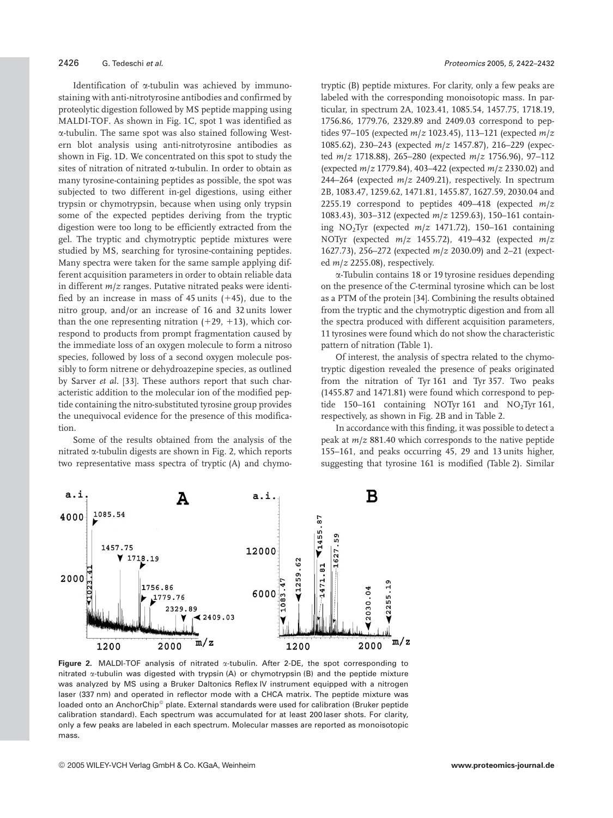Identification of a-tubulin was achieved by immunostaining with anti-nitrotyrosine antibodies and confirmed by proteolytic digestion followed by MS peptide mapping using MALDI-TOF. As shown in Fig. 1C, spot 1 was identified as a-tubulin. The same spot was also stained following Western blot analysis using anti-nitrotyrosine antibodies as shown in Fig. 1D. We concentrated on this spot to study the sites of nitration of nitrated  $\alpha$ -tubulin. In order to obtain as many tyrosine-containing peptides as possible, the spot was subjected to two different in-gel digestions, using either trypsin or chymotrypsin, because when using only trypsin some of the expected peptides deriving from the tryptic digestion were too long to be efficiently extracted from the gel. The tryptic and chymotryptic peptide mixtures were studied by MS, searching for tyrosine-containing peptides. Many spectra were taken for the same sample applying different acquisition parameters in order to obtain reliable data in different *m*/*z* ranges. Putative nitrated peaks were identified by an increase in mass of 45 units  $(+45)$ , due to the nitro group, and/or an increase of 16 and 32 units lower than the one representing nitration  $(+29, +13)$ , which correspond to products from prompt fragmentation caused by the immediate loss of an oxygen molecule to form a nitroso species, followed by loss of a second oxygen molecule possibly to form nitrene or dehydroazepine species, as outlined by Sarver *et al.* [33]. These authors report that such characteristic addition to the molecular ion of the modified peptide containing the nitro-substituted tyrosine group provides the unequivocal evidence for the presence of this modification.

Some of the results obtained from the analysis of the nitrated  $\alpha$ -tubulin digests are shown in Fig. 2, which reports two representative mass spectra of tryptic (A) and chymotryptic (B) peptide mixtures. For clarity, only a few peaks are labeled with the corresponding monoisotopic mass. In particular, in spectrum 2A, 1023.41, 1085.54, 1457.75, 1718.19, 1756.86, 1779.76, 2329.89 and 2409.03 correspond to peptides 97–105 (expected *m*/*z* 1023.45), 113–121 (expected *m*/*z* 1085.62), 230–243 (expected *m*/*z* 1457.87), 216–229 (expected *m*/*z* 1718.88), 265–280 (expected *m*/*z* 1756.96), 97–112 (expected *m*/*z* 1779.84), 403–422 (expected *m*/*z* 2330.02) and 244–264 (expected *m*/*z* 2409.21), respectively. In spectrum 2B, 1083.47, 1259.62, 1471.81, 1455.87, 1627.59, 2030.04 and 2255.19 correspond to peptides 409–418 (expected *m*/*z* 1083.43), 303–312 (expected *m*/*z* 1259.63), 150–161 containing  $NO<sub>2</sub>Tyr$  (expected  $m/z$  1471.72), 150–161 containing NOTyr (expected *m*/*z* 1455.72), 419–432 (expected *m*/*z* 1627.73), 256–272 (expected *m*/*z* 2030.09) and 2–21 (expected *m*/*z* 2255.08), respectively.

a-Tubulin contains 18 or 19 tyrosine residues depending on the presence of the *C*-terminal tyrosine which can be lost as a PTM of the protein [34]. Combining the results obtained from the tryptic and the chymotryptic digestion and from all the spectra produced with different acquisition parameters, 11 tyrosines were found which do not show the characteristic pattern of nitration (Table 1).

Of interest, the analysis of spectra related to the chymotryptic digestion revealed the presence of peaks originated from the nitration of Tyr 161 and Tyr 357. Two peaks (1455.87 and 1471.81) were found which correspond to peptide 150–161 containing NOTyr 161 and  $NO<sub>2</sub>$ Tyr 161, respectively, as shown in Fig. 2B and in Table 2.

In accordance with this finding, it was possible to detect a peak at *m*/*z* 881.40 which corresponds to the native peptide 155–161, and peaks occurring 45, 29 and 13 units higher, suggesting that tyrosine 161 is modified (Table 2). Similar



**Figure 2.** MALDI-TOF analysis of nitrated  $\alpha$ -tubulin. After 2-DE, the spot corresponding to nitrated a-tubulin was digested with trypsin (A) or chymotrypsin (B) and the peptide mixture was analyzed by MS using a Bruker Daltonics Reflex IV instrument equipped with a nitrogen laser (337 nm) and operated in reflector mode with a CHCA matrix. The peptide mixture was loaded onto an AnchorChip<sup>®</sup> plate. External standards were used for calibration (Bruker peptide calibration standard). Each spectrum was accumulated for at least 200 laser shots. For clarity, only a few peaks are labeled in each spectrum. Molecular masses are reported as monoisotopic mass.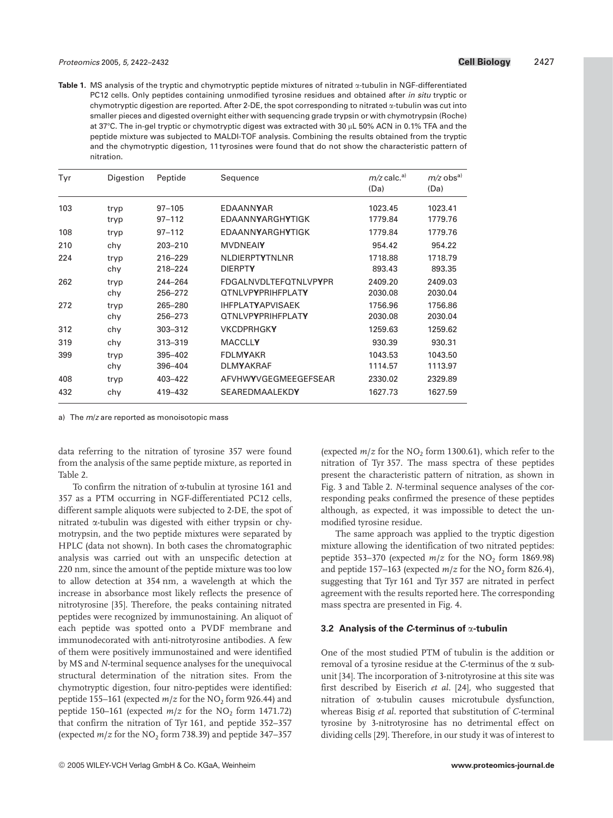**Table 1.** MS analysis of the tryptic and chymotryptic peptide mixtures of nitrated  $\alpha$ -tubulin in NGF-differentiated PC12 cells. Only peptides containing unmodified tyrosine residues and obtained after in situ tryptic or chymotryptic digestion are reported. After 2-DE, the spot corresponding to nitrated  $\alpha$ -tubulin was cut into smaller pieces and digested overnight either with sequencing grade trypsin or with chymotrypsin (Roche) at 37°C. The in-gel tryptic or chymotryptic digest was extracted with 30 µL 50% ACN in 0.1% TFA and the peptide mixture was subjected to MALDI-TOF analysis. Combining the results obtained from the tryptic and the chymotryptic digestion, 11 tyrosines were found that do not show the characteristic pattern of nitration.

| Tyr | Digestion    | Peptide                  | Sequence                                                    | $m/z$ calc. <sup>a)</sup><br>(Da) | $m/z$ obs <sup>a)</sup><br>(Da) |
|-----|--------------|--------------------------|-------------------------------------------------------------|-----------------------------------|---------------------------------|
| 103 | tryp<br>tryp | $97 - 105$<br>$97 - 112$ | EDAANNYAR<br><b>FDAANNYARGHYTIGK</b>                        | 1023.45<br>1779.84                | 1023.41<br>1779.76              |
| 108 | tryp         | $97 - 112$               | <b>EDAANNYARGHYTIGK</b>                                     | 1779.84                           | 1779.76                         |
| 210 | chy          | 203-210                  | <b>MVDNEAIY</b>                                             | 954.42                            | 954.22                          |
| 224 | tryp<br>chy  | 216-229<br>218-224       | <b>NLDIERPTYTNLNR</b><br><b>DIERPTY</b>                     | 1718.88<br>893.43                 | 1718.79<br>893.35               |
| 262 | tryp<br>chy  | 244-264<br>256-272       | <b>FDGAI NVDI TFFOTNI VPYPR</b><br><b>OTNLVPYPRIHFPLATY</b> | 2409.20<br>2030.08                | 2409.03<br>2030.04              |
| 272 | tryp<br>chy  | 265-280<br>256-273       | <b>IHFPLATYAPVISAEK</b><br><b>OTNLVPYPRIHFPLATY</b>         | 1756.96<br>2030.08                | 1756.86<br>2030.04              |
| 312 | chy          | 303-312                  | <b>VKCDPRHGKY</b>                                           | 1259.63                           | 1259.62                         |
| 319 | chy          | 313-319                  | <b>MACCLLY</b>                                              | 930.39                            | 930.31                          |
| 399 | tryp<br>chy  | 395-402<br>396-404       | <b>FDLMYAKR</b><br><b>DLMYAKRAF</b>                         | 1043.53<br>1114.57                | 1043.50<br>1113.97              |
| 408 | tryp         | 403-422                  | AFVHWYVGEGMEEGEFSEAR                                        | 2330.02                           | 2329.89                         |
| 432 | chy          | 419-432                  | <b>SEAREDMAALEKDY</b>                                       | 1627.73                           | 1627.59                         |

a) The  $m/z$  are reported as monoisotopic mass

data referring to the nitration of tyrosine 357 were found from the analysis of the same peptide mixture, as reported in Table 2.

To confirm the nitration of  $\alpha$ -tubulin at tyrosine 161 and 357 as a PTM occurring in NGF-differentiated PC12 cells, different sample aliquots were subjected to 2-DE, the spot of nitrated  $\alpha$ -tubulin was digested with either trypsin or chymotrypsin, and the two peptide mixtures were separated by HPLC (data not shown). In both cases the chromatographic analysis was carried out with an unspecific detection at 220 nm, since the amount of the peptide mixture was too low to allow detection at 354 nm, a wavelength at which the increase in absorbance most likely reflects the presence of nitrotyrosine [35]. Therefore, the peaks containing nitrated peptides were recognized by immunostaining. An aliquot of each peptide was spotted onto a PVDF membrane and immunodecorated with anti-nitrotyrosine antibodies. A few of them were positively immunostained and were identified by MS and *N*-terminal sequence analyses for the unequivocal structural determination of the nitration sites. From the chymotryptic digestion, four nitro-peptides were identified: peptide 155–161 (expected  $m/z$  for the NO<sub>2</sub> form 926.44) and peptide 150–161 (expected  $m/z$  for the NO<sub>2</sub> form 1471.72) that confirm the nitration of Tyr 161, and peptide 352–357 (expected  $m/z$  for the NO<sub>2</sub> form 738.39) and peptide 347–357

(expected  $m/z$  for the NO<sub>2</sub> form 1300.61), which refer to the nitration of Tyr 357. The mass spectra of these peptides present the characteristic pattern of nitration, as shown in Fig. 3 and Table 2. *N*-terminal sequence analyses of the corresponding peaks confirmed the presence of these peptides although, as expected, it was impossible to detect the unmodified tyrosine residue.

The same approach was applied to the tryptic digestion mixture allowing the identification of two nitrated peptides: peptide  $353-370$  (expected  $m/z$  for the NO<sub>2</sub> form 1869.98) and peptide 157–163 (expected  $m/z$  for the NO<sub>2</sub> form 826.4), suggesting that Tyr 161 and Tyr 357 are nitrated in perfect agreement with the results reported here. The corresponding mass spectra are presented in Fig. 4.

#### **3.2 Analysis of the** *C***-terminus of** a**-tubulin**

One of the most studied PTM of tubulin is the addition or removal of a tyrosine residue at the *C*-terminus of the a subunit [34]. The incorporation of 3-nitrotyrosine at this site was first described by Eiserich *et al.* [24], who suggested that nitration of a-tubulin causes microtubule dysfunction, whereas Bisig *et al.* reported that substitution of *C*-terminal tyrosine by 3-nitrotyrosine has no detrimental effect on dividing cells [29]. Therefore, in our study it was of interest to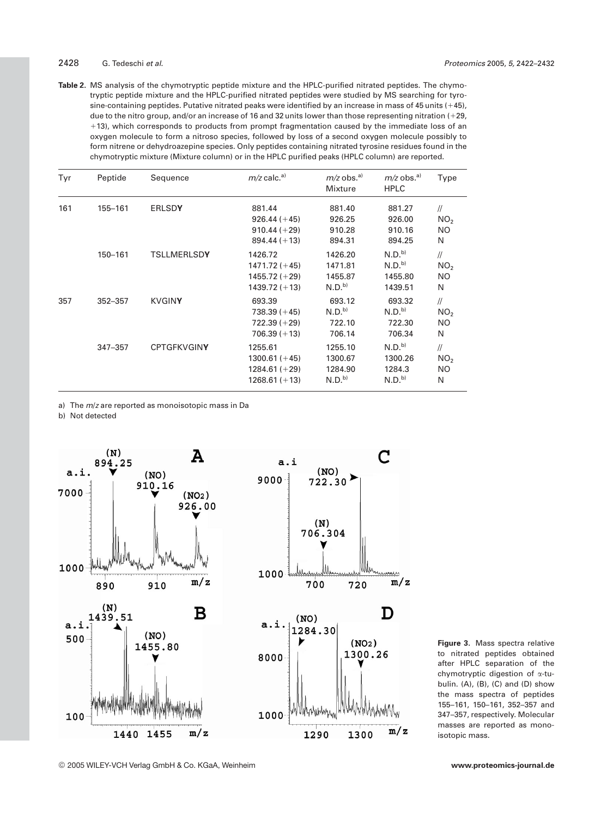#### 2428 G. Tedeschi et al. Proteomics 2005, 5, 2422–2432

**Table 2.** MS analysis of the chymotryptic peptide mixture and the HPLC-purified nitrated peptides. The chymotryptic peptide mixture and the HPLC-purified nitrated peptides were studied by MS searching for tyrosine-containing peptides. Putative nitrated peaks were identified by an increase in mass of 45 units (+45), due to the nitro group, and/or an increase of 16 and 32 units lower than those representing nitration (+29, 113), which corresponds to products from prompt fragmentation caused by the immediate loss of an oxygen molecule to form a nitroso species, followed by loss of a second oxygen molecule possibly to form nitrene or dehydroazepine species. Only peptides containing nitrated tyrosine residues found in the chymotryptic mixture (Mixture column) or in the HPLC purified peaks (HPLC column) are reported.

| Tyr | Peptide     | Sequence           | $m/z$ calc. <sup>a)</sup>                                        | $m/z$ obs. <sup>a)</sup><br>Mixture                | $m/z$ obs. <sup>a)</sup><br><b>HPLC</b>                      | Type                                         |
|-----|-------------|--------------------|------------------------------------------------------------------|----------------------------------------------------|--------------------------------------------------------------|----------------------------------------------|
| 161 | 155-161     | <b>ERLSDY</b>      | 881.44<br>$926.44 (+45)$<br>$910.44 (+29)$<br>$894.44 (+13)$     | 881.40<br>926.25<br>910.28<br>894.31               | 881.27<br>926.00<br>910.16<br>894.25                         | $\frac{1}{2}$<br>NO <sub>2</sub><br>NO.<br>N |
|     | 150-161     | <b>TSLLMERLSDY</b> | 1426.72<br>$1471.72 (+45)$<br>$1455.72 (+29)$<br>$1439.72 (+13)$ | 1426.20<br>1471.81<br>1455.87<br>N.D. <sup>b</sup> | N.D. <sup>b</sup><br>N.D. <sup>b</sup><br>1455.80<br>1439.51 | $\frac{1}{2}$<br>NO <sub>2</sub><br>NO.<br>N |
| 357 | 352-357     | <b>KVGINY</b>      | 693.39<br>$738.39 (+45)$<br>$722.39 (+29)$<br>$706.39 (+13)$     | 693.12<br>N.D. <sup>b</sup><br>722.10<br>706.14    | 693.32<br>N.D. <sup>b</sup><br>722.30<br>706.34              | $\frac{1}{2}$<br>NO <sub>2</sub><br>NO.<br>N |
|     | $347 - 357$ | <b>CPTGFKVGINY</b> | 1255.61<br>$1300.61 (+45)$<br>$1284.61 (+29)$<br>$1268.61 (+13)$ | 1255.10<br>1300.67<br>1284.90<br>N.D. <sup>b</sup> | N.D. <sup>b</sup><br>1300.26<br>1284.3<br>N.D. <sup>b</sup>  | $\frac{1}{2}$<br>NO <sub>2</sub><br>NO.<br>N |

a) The m/z are reported as monoisotopic mass in Da

b) Not detected



**Figure 3.** Mass spectra relative to nitrated peptides obtained after HPLC separation of the chymotryptic digestion of a-tubulin. (A), (B), (C) and (D) show the mass spectra of peptides 155–161, 150–161, 352–357 and 347–357, respectively. Molecular masses are reported as monoisotopic mass.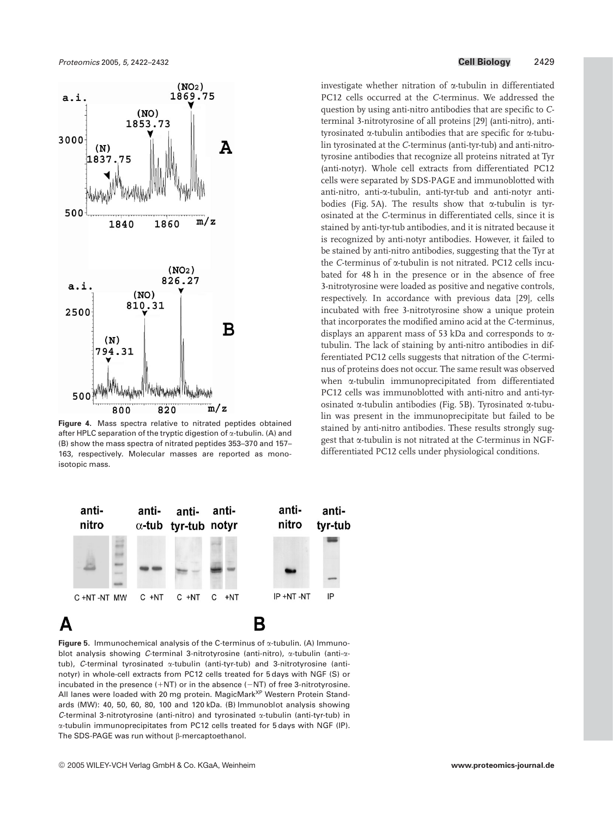

**Figure 4.** Mass spectra relative to nitrated peptides obtained after HPLC separation of the tryptic digestion of  $\alpha$ -tubulin. (A) and (B) show the mass spectra of nitrated peptides 353–370 and 157– 163, respectively. Molecular masses are reported as monoisotopic mass.



**Figure 5.** Immunochemical analysis of the C-terminus of  $\alpha$ -tubulin. (A) Immunoblot analysis showing C-terminal 3-nitrotyrosine (anti-nitro), a-tubulin (anti-atub), C-terminal tyrosinated  $\alpha$ -tubulin (anti-tyr-tub) and 3-nitrotyrosine (antinotyr) in whole-cell extracts from PC12 cells treated for 5 days with NGF (S) or incubated in the presence  $(+NT)$  or in the absence  $(-NT)$  of free 3-nitrotyrosine. All lanes were loaded with 20 mg protein. MagicMark<sup>XP</sup> Western Protein Standards (MW): 40, 50, 60, 80, 100 and 120 kDa. (B) Immunoblot analysis showing C-terminal 3-nitrotyrosine (anti-nitro) and tyrosinated a-tubulin (anti-tyr-tub) in a-tubulin immunoprecipitates from PC12 cells treated for 5 days with NGF (IP). The SDS-PAGE was run without  $\beta$ -mercaptoethanol.

investigate whether nitration of a-tubulin in differentiated PC12 cells occurred at the *C*-terminus. We addressed the question by using anti-nitro antibodies that are specific to *C*terminal 3-nitrotyrosine of all proteins [29] (anti-nitro), antityrosinated a-tubulin antibodies that are specific for a-tubulin tyrosinated at the *C*-terminus (anti-tyr-tub) and anti-nitrotyrosine antibodies that recognize all proteins nitrated at Tyr (anti-notyr). Whole cell extracts from differentiated PC12 cells were separated by SDS-PAGE and immunoblotted with anti-nitro, anti-a-tubulin, anti-tyr-tub and anti-notyr antibodies (Fig. 5A). The results show that  $\alpha$ -tubulin is tyrosinated at the *C*-terminus in differentiated cells, since it is stained by anti-tyr-tub antibodies, and it is nitrated because it is recognized by anti-notyr antibodies. However, it failed to be stained by anti-nitro antibodies, suggesting that the Tyr at the *C*-terminus of a-tubulin is not nitrated. PC12 cells incubated for 48 h in the presence or in the absence of free 3-nitrotyrosine were loaded as positive and negative controls, respectively. In accordance with previous data [29], cells incubated with free 3-nitrotyrosine show a unique protein that incorporates the modified amino acid at the *C*-terminus, displays an apparent mass of 53 kDa and corresponds to atubulin. The lack of staining by anti-nitro antibodies in differentiated PC12 cells suggests that nitration of the *C*-terminus of proteins does not occur. The same result was observed when a-tubulin immunoprecipitated from differentiated PC12 cells was immunoblotted with anti-nitro and anti-tyrosinated  $\alpha$ -tubulin antibodies (Fig. 5B). Tyrosinated  $\alpha$ -tubulin was present in the immunoprecipitate but failed to be stained by anti-nitro antibodies. These results strongly suggest that a-tubulin is not nitrated at the *C*-terminus in NGFdifferentiated PC12 cells under physiological conditions.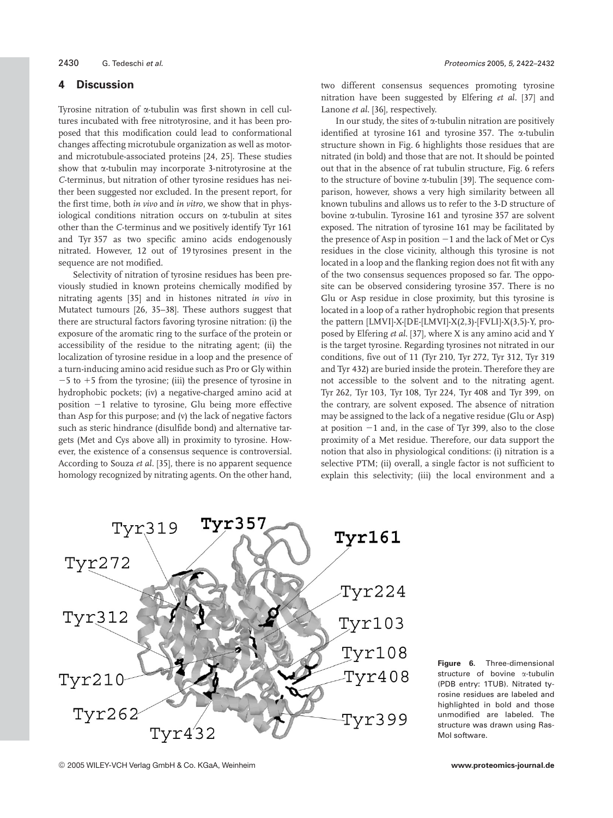#### **4 Discussion**

Tyrosine nitration of a-tubulin was first shown in cell cultures incubated with free nitrotyrosine, and it has been proposed that this modification could lead to conformational changes affecting microtubule organization as well as motorand microtubule-associated proteins [24, 25]. These studies show that  $\alpha$ -tubulin may incorporate 3-nitrotyrosine at the *C*-terminus, but nitration of other tyrosine residues has neither been suggested nor excluded. In the present report, for the first time, both *in vivo* and *in vitro*, we show that in physiological conditions nitration occurs on a-tubulin at sites other than the *C*-terminus and we positively identify Tyr 161 and Tyr 357 as two specific amino acids endogenously nitrated. However, 12 out of 19 tyrosines present in the sequence are not modified.

Selectivity of nitration of tyrosine residues has been previously studied in known proteins chemically modified by nitrating agents [35] and in histones nitrated *in vivo* in Mutatect tumours [26, 35–38]. These authors suggest that there are structural factors favoring tyrosine nitration: (i) the exposure of the aromatic ring to the surface of the protein or accessibility of the residue to the nitrating agent; (ii) the localization of tyrosine residue in a loop and the presence of a turn-inducing amino acid residue such as Pro or Gly within  $-5$  to  $+5$  from the tyrosine; (iii) the presence of tyrosine in hydrophobic pockets; (iv) a negative-charged amino acid at position  $-1$  relative to tyrosine, Glu being more effective than Asp for this purpose; and (v) the lack of negative factors such as steric hindrance (disulfide bond) and alternative targets (Met and Cys above all) in proximity to tyrosine. However, the existence of a consensus sequence is controversial. According to Souza *et al.* [35], there is no apparent sequence homology recognized by nitrating agents. On the other hand, two different consensus sequences promoting tyrosine nitration have been suggested by Elfering *et al.* [37] and Lanone *et al.* [36], respectively.

In our study, the sites of  $\alpha$ -tubulin nitration are positively identified at tyrosine 161 and tyrosine 357. The a-tubulin structure shown in Fig. 6 highlights those residues that are nitrated (in bold) and those that are not. It should be pointed out that in the absence of rat tubulin structure, Fig. 6 refers to the structure of bovine a-tubulin [39]. The sequence comparison, however, shows a very high similarity between all known tubulins and allows us to refer to the 3-D structure of bovine a-tubulin. Tyrosine 161 and tyrosine 357 are solvent exposed. The nitration of tyrosine 161 may be facilitated by the presence of Asp in position  $-1$  and the lack of Met or Cys residues in the close vicinity, although this tyrosine is not located in a loop and the flanking region does not fit with any of the two consensus sequences proposed so far. The opposite can be observed considering tyrosine 357. There is no Glu or Asp residue in close proximity, but this tyrosine is located in a loop of a rather hydrophobic region that presents the pattern [LMVI]-X-[DE-[LMVI]-X(2,3)-[FVLI]-X(3,5)-Y, proposed by Elfering *et al.* [37], where X is any amino acid and Y is the target tyrosine. Regarding tyrosines not nitrated in our conditions, five out of 11 (Tyr 210, Tyr 272, Tyr 312, Tyr 319 and Tyr 432) are buried inside the protein. Therefore they are not accessible to the solvent and to the nitrating agent. Tyr 262, Tyr 103, Tyr 108, Tyr 224, Tyr 408 and Tyr 399, on the contrary, are solvent exposed. The absence of nitration may be assigned to the lack of a negative residue (Glu or Asp) at position  $-1$  and, in the case of Tyr 399, also to the close proximity of a Met residue. Therefore, our data support the notion that also in physiological conditions: (i) nitration is a selective PTM; (ii) overall, a single factor is not sufficient to explain this selectivity; (iii) the local environment and a



**Figure 6.** Three-dimensional structure of bovine a-tubulin (PDB entry: 1TUB). Nitrated tyrosine residues are labeled and highlighted in bold and those unmodified are labeled. The structure was drawn using Ras-Mol software.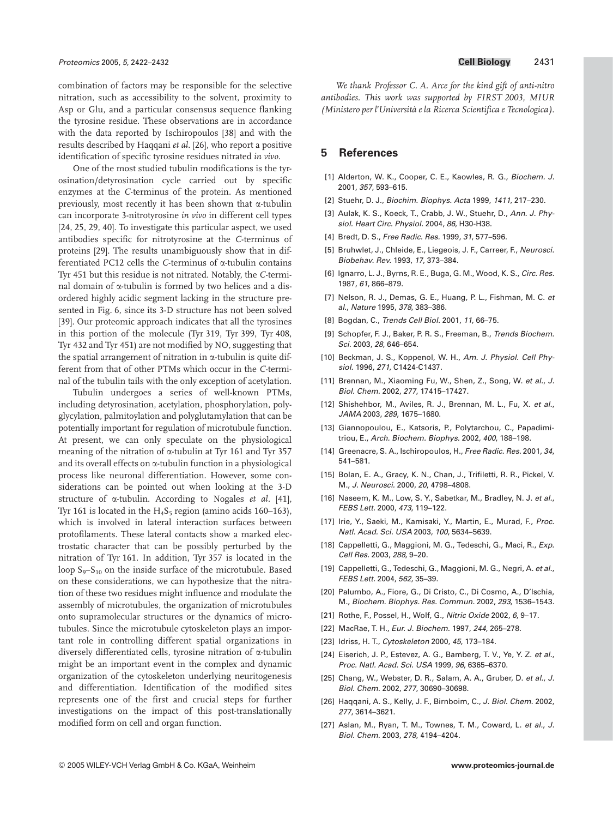combination of factors may be responsible for the selective nitration, such as accessibility to the solvent, proximity to Asp or Glu, and a particular consensus sequence flanking the tyrosine residue. These observations are in accordance with the data reported by Ischiropoulos [38] and with the results described by Haqqani *et al.* [26], who report a positive identification of specific tyrosine residues nitrated *in vivo*.

One of the most studied tubulin modifications is the tyrosination/detyrosination cycle carried out by specific enzymes at the *C*-terminus of the protein. As mentioned previously, most recently it has been shown that  $\alpha$ -tubulin can incorporate 3-nitrotyrosine *in vivo* in different cell types [24, 25, 29, 40]. To investigate this particular aspect, we used antibodies specific for nitrotyrosine at the *C*-terminus of proteins [29]. The results unambiguously show that in differentiated PC12 cells the *C*-terminus of a-tubulin contains Tyr 451 but this residue is not nitrated. Notably, the *C*-terminal domain of  $\alpha$ -tubulin is formed by two helices and a disordered highly acidic segment lacking in the structure presented in Fig. 6, since its 3-D structure has not been solved [39]. Our proteomic approach indicates that all the tyrosines in this portion of the molecule (Tyr 319, Tyr 399, Tyr 408, Tyr 432 and Tyr 451) are not modified by NO, suggesting that the spatial arrangement of nitration in  $\alpha$ -tubulin is quite different from that of other PTMs which occur in the *C*-terminal of the tubulin tails with the only exception of acetylation.

Tubulin undergoes a series of well-known PTMs, including detyrosination, acetylation, phosphorylation, polyglycylation, palmitoylation and polyglutamylation that can be potentially important for regulation of microtubule function. At present, we can only speculate on the physiological meaning of the nitration of a-tubulin at Tyr 161 and Tyr 357 and its overall effects on a-tubulin function in a physiological process like neuronal differentiation. However, some considerations can be pointed out when looking at the 3-D structure of a-tubulin. According to Nogales *et al.* [41], Tyr 161 is located in the  $H_4S_5$  region (amino acids 160–163), which is involved in lateral interaction surfaces between protofilaments. These lateral contacts show a marked electrostatic character that can be possibly perturbed by the nitration of Tyr 161. In addition, Tyr 357 is located in the loop  $S_9 - S_{10}$  on the inside surface of the microtubule. Based on these considerations, we can hypothesize that the nitration of these two residues might influence and modulate the assembly of microtubules, the organization of microtubules onto supramolecular structures or the dynamics of microtubules. Since the microtubule cytoskeleton plays an important role in controlling different spatial organizations in diversely differentiated cells, tyrosine nitration of a-tubulin might be an important event in the complex and dynamic organization of the cytoskeleton underlying neuritogenesis and differentiation. Identification of the modified sites represents one of the first and crucial steps for further investigations on the impact of this post-translationally modified form on cell and organ function.

*We thank Professor C. A. Arce for the kind gift of anti-nitro antibodies. This work was supported by FIRST 2003, MIUR (Ministero per l'Università e la Ricerca Scientifica e Tecnologica)*.

## **5 References**

- [1] Alderton, W. K., Cooper, C. E., Kaowles, R. G., Biochem. J. 2001, 357, 593–615.
- [2] Stuehr, D. J., Biochim. Biophys. Acta 1999, 1411, 217–230.
- [3] Aulak, K. S., Koeck, T., Crabb, J. W., Stuehr, D., Ann. J. Physiol. Heart Circ. Physiol. 2004, 86, H30-H38.
- [4] Bredt, D. S., Free Radic, Res. 1999, 31, 577-596.
- [5] Bruhwlet, J., Chleide, E., Liegeois, J. F., Carreer, F., Neurosci. Biobehav. Rev. 1993, 17, 373–384.
- [6] Ignarro, L. J., Byrns, R. E., Buga, G. M., Wood, K. S., Circ. Res. 1987, 61, 866–879.
- [7] Nelson, R. J., Demas, G. E., Huang, P. L., Fishman, M. C. et al., Nature 1995, 378, 383–386.
- [8] Bogdan, C., Trends Cell Biol. 2001, 11, 66–75.
- [9] Schopfer, F. J., Baker, P. R. S., Freeman, B., Trends Biochem. Sci. 2003, 28, 646–654.
- [10] Beckman, J. S., Koppenol, W. H., Am. J. Physiol. Cell Physiol. 1996, 271, C1424-C1437.
- [11] Brennan, M., Xiaoming Fu, W., Shen, Z., Song, W. et al., J. Biol. Chem. 2002, 277, 17415–17427.
- [12] Shishehbor, M., Aviles, R. J., Brennan, M. L., Fu, X. et al., JAMA 2003, 289, 1675–1680.
- [13] Giannopoulou, E., Katsoris, P., Polytarchou, C., Papadimitriou, E., Arch. Biochem. Biophys. 2002, 400, 188–198.
- [14] Greenacre, S. A., Ischiropoulos, H., Free Radic. Res. 2001, 34, 541–581.
- [15] Bolan, E. A., Gracy, K. N., Chan, J., Trifiletti, R. R., Pickel, V. M., J. Neurosci. 2000, 20, 4798–4808.
- [16] Naseem, K. M., Low, S. Y., Sabetkar, M., Bradley, N. J. et al., FEBS Lett. 2000, 473, 119–122.
- [17] Irie, Y., Saeki, M., Kamisaki, Y., Martin, E., Murad, F., Proc. Natl. Acad. Sci. USA 2003, 100, 5634–5639.
- [18] Cappelletti, G., Maggioni, M. G., Tedeschi, G., Maci, R., Exp. Cell Res. 2003, 288, 9–20.
- [19] Cappelletti, G., Tedeschi, G., Maggioni, M. G., Negri, A. et al., FEBS Lett. 2004, 562, 35–39.
- [20] Palumbo, A., Fiore, G., Di Cristo, C., Di Cosmo, A., D'Ischia, M., Biochem. Biophys. Res. Commun. 2002, 293, 1536–1543.
- [21] Rothe, F., Possel, H., Wolf, G., Nitric Oxide 2002, 6, 9-17.
- [22] MacRae, T. H., Eur. J. Biochem. 1997, 244, 265–278.
- [23] Idriss, H. T., Cytoskeleton 2000, 45, 173-184.
- [24] Eiserich, J. P., Estevez, A. G., Bamberg, T. V., Ye, Y. Z. et al., Proc. Natl. Acad. Sci. USA 1999, 96, 6365–6370.
- [25] Chang, W., Webster, D. R., Salam, A. A., Gruber, D. et al., J. Biol. Chem. 2002, 277, 30690–30698.
- [26] Haqqani, A. S., Kelly, J. F., Birnboim, C., J. Biol. Chem. 2002, 277, 3614–3621.
- [27] Aslan, M., Ryan, T. M., Townes, T. M., Coward, L. et al., J. Biol. Chem. 2003, 278, 4194–4204.